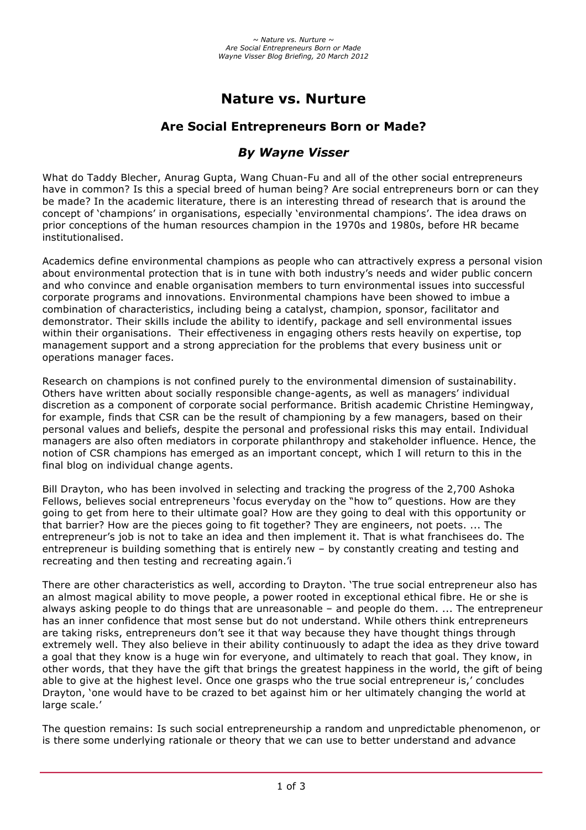# **Nature vs. Nurture**

# **Are Social Entrepreneurs Born or Made?**

# *By Wayne Visser*

What do Taddy Blecher, Anurag Gupta, Wang Chuan-Fu and all of the other social entrepreneurs have in common? Is this a special breed of human being? Are social entrepreneurs born or can they be made? In the academic literature, there is an interesting thread of research that is around the concept of 'champions' in organisations, especially 'environmental champions'. The idea draws on prior conceptions of the human resources champion in the 1970s and 1980s, before HR became institutionalised.

Academics define environmental champions as people who can attractively express a personal vision about environmental protection that is in tune with both industry's needs and wider public concern and who convince and enable organisation members to turn environmental issues into successful corporate programs and innovations. Environmental champions have been showed to imbue a combination of characteristics, including being a catalyst, champion, sponsor, facilitator and demonstrator. Their skills include the ability to identify, package and sell environmental issues within their organisations. Their effectiveness in engaging others rests heavily on expertise, top management support and a strong appreciation for the problems that every business unit or operations manager faces.

Research on champions is not confined purely to the environmental dimension of sustainability. Others have written about socially responsible change-agents, as well as managers' individual discretion as a component of corporate social performance. British academic Christine Hemingway, for example, finds that CSR can be the result of championing by a few managers, based on their personal values and beliefs, despite the personal and professional risks this may entail. Individual managers are also often mediators in corporate philanthropy and stakeholder influence. Hence, the notion of CSR champions has emerged as an important concept, which I will return to this in the final blog on individual change agents.

Bill Drayton, who has been involved in selecting and tracking the progress of the 2,700 Ashoka Fellows, believes social entrepreneurs 'focus everyday on the "how to" questions. How are they going to get from here to their ultimate goal? How are they going to deal with this opportunity or that barrier? How are the pieces going to fit together? They are engineers, not poets. ... The entrepreneur's job is not to take an idea and then implement it. That is what franchisees do. The entrepreneur is building something that is entirely new – by constantly creating and testing and recreating and then testing and recreating again.'i

There are other characteristics as well, according to Drayton. 'The true social entrepreneur also has an almost magical ability to move people, a power rooted in exceptional ethical fibre. He or she is always asking people to do things that are unreasonable – and people do them. ... The entrepreneur has an inner confidence that most sense but do not understand. While others think entrepreneurs are taking risks, entrepreneurs don't see it that way because they have thought things through extremely well. They also believe in their ability continuously to adapt the idea as they drive toward a goal that they know is a huge win for everyone, and ultimately to reach that goal. They know, in other words, that they have the gift that brings the greatest happiness in the world, the gift of being able to give at the highest level. Once one grasps who the true social entrepreneur is,' concludes Drayton, 'one would have to be crazed to bet against him or her ultimately changing the world at large scale.'

The question remains: Is such social entrepreneurship a random and unpredictable phenomenon, or is there some underlying rationale or theory that we can use to better understand and advance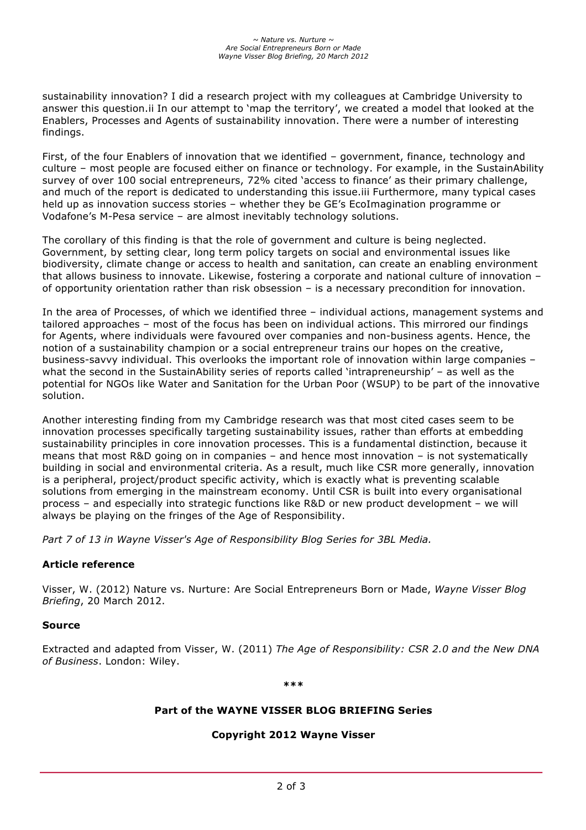sustainability innovation? I did a research project with my colleagues at Cambridge University to answer this question.ii In our attempt to 'map the territory', we created a model that looked at the Enablers, Processes and Agents of sustainability innovation. There were a number of interesting findings.

First, of the four Enablers of innovation that we identified – government, finance, technology and culture – most people are focused either on finance or technology. For example, in the SustainAbility survey of over 100 social entrepreneurs, 72% cited 'access to finance' as their primary challenge, and much of the report is dedicated to understanding this issue.iii Furthermore, many typical cases held up as innovation success stories – whether they be GE's EcoImagination programme or Vodafone's M-Pesa service – are almost inevitably technology solutions.

The corollary of this finding is that the role of government and culture is being neglected. Government, by setting clear, long term policy targets on social and environmental issues like biodiversity, climate change or access to health and sanitation, can create an enabling environment that allows business to innovate. Likewise, fostering a corporate and national culture of innovation – of opportunity orientation rather than risk obsession – is a necessary precondition for innovation.

In the area of Processes, of which we identified three – individual actions, management systems and tailored approaches – most of the focus has been on individual actions. This mirrored our findings for Agents, where individuals were favoured over companies and non-business agents. Hence, the notion of a sustainability champion or a social entrepreneur trains our hopes on the creative, business-savvy individual. This overlooks the important role of innovation within large companies – what the second in the SustainAbility series of reports called 'intrapreneurship' - as well as the potential for NGOs like Water and Sanitation for the Urban Poor (WSUP) to be part of the innovative solution.

Another interesting finding from my Cambridge research was that most cited cases seem to be innovation processes specifically targeting sustainability issues, rather than efforts at embedding sustainability principles in core innovation processes. This is a fundamental distinction, because it means that most R&D going on in companies – and hence most innovation – is not systematically building in social and environmental criteria. As a result, much like CSR more generally, innovation is a peripheral, project/product specific activity, which is exactly what is preventing scalable solutions from emerging in the mainstream economy. Until CSR is built into every organisational process – and especially into strategic functions like R&D or new product development – we will always be playing on the fringes of the Age of Responsibility.

*Part 7 of 13 in Wayne Visser's Age of Responsibility Blog Series for 3BL Media.*

## **Article reference**

Visser, W. (2012) Nature vs. Nurture: Are Social Entrepreneurs Born or Made, *Wayne Visser Blog Briefing*, 20 March 2012.

#### **Source**

Extracted and adapted from Visser, W. (2011) *The Age of Responsibility: CSR 2.0 and the New DNA of Business*. London: Wiley.

**\*\*\***

## **Part of the WAYNE VISSER BLOG BRIEFING Series**

#### **Copyright 2012 Wayne Visser**